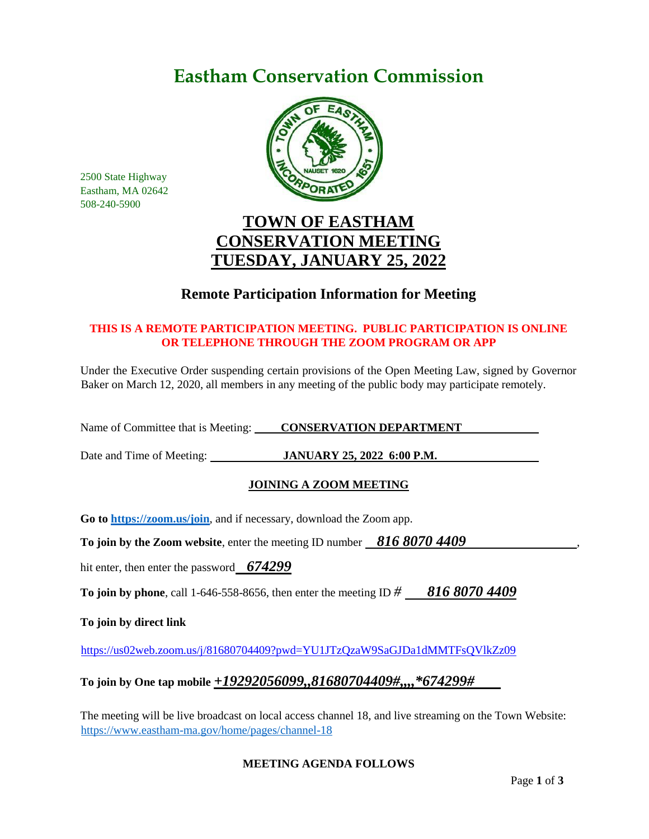# **Eastham Conservation Commission**



2500 State Highway Eastham, MA 02642 508-240-5900

## **TOWN OF EASTHAM CONSERVATION MEETING TUESDAY, JANUARY 25, 2022**

## **Remote Participation Information for Meeting**

### **THIS IS A REMOTE PARTICIPATION MEETING. PUBLIC PARTICIPATION IS ONLINE OR TELEPHONE THROUGH THE ZOOM PROGRAM OR APP**

Under the Executive Order suspending certain provisions of the Open Meeting Law, signed by Governor Baker on March 12, 2020, all members in any meeting of the public body may participate remotely.

Name of Committee that is Meeting: **CONSERVATION DEPARTMENT** 

Date and Time of Meeting: **JANUARY 25, 2022 6:00 P.M.** 

## **JOINING A ZOOM MEETING**

**Go to<https://zoom.us/join>**, and if necessary, download the Zoom app.

**To join by the Zoom website, enter the meeting ID number 816 8070 4409** 

hit enter, then enter the password *674299*

**To join by phone**, call 1-646-558-8656, then enter the meeting ID *# 816 8070 4409*

**To join by direct link**

<https://us02web.zoom.us/j/81680704409?pwd=YU1JTzQzaW9SaGJDa1dMMTFsQVlkZz09>

## **To join by One tap mobile** *+19292056099,,81680704409#,,,,\*674299#*

The meeting will be live broadcast on local access channel 18, and live streaming on the Town Website: <https://www.eastham-ma.gov/home/pages/channel-18>

#### **MEETING AGENDA FOLLOWS**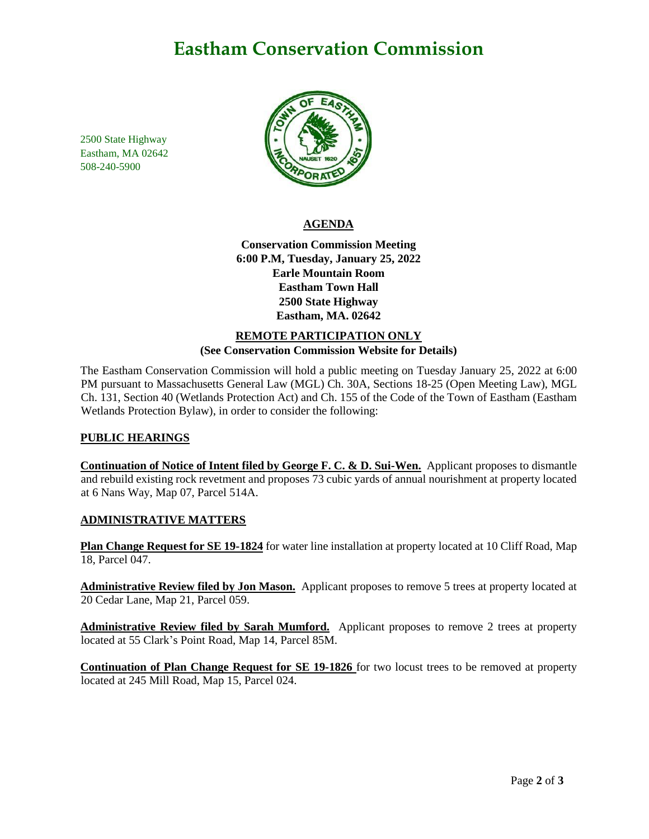## **Eastham Conservation Commission**

2500 State Highway Eastham, MA 02642 508-240-5900



#### **AGENDA**

**Conservation Commission Meeting 6:00 P.M, Tuesday, January 25, 2022 Earle Mountain Room Eastham Town Hall 2500 State Highway Eastham, MA. 02642**

#### **REMOTE PARTICIPATION ONLY (See Conservation Commission Website for Details)**

The Eastham Conservation Commission will hold a public meeting on Tuesday January 25, 2022 at 6:00 PM pursuant to Massachusetts General Law (MGL) Ch. 30A, Sections 18-25 (Open Meeting Law), MGL Ch. 131, Section 40 (Wetlands Protection Act) and Ch. 155 of the Code of the Town of Eastham (Eastham Wetlands Protection Bylaw), in order to consider the following:

#### **PUBLIC HEARINGS**

**Continuation of Notice of Intent filed by George F. C. & D. Sui-Wen.** Applicant proposes to dismantle and rebuild existing rock revetment and proposes 73 cubic yards of annual nourishment at property located at 6 Nans Way, Map 07, Parcel 514A.

#### **ADMINISTRATIVE MATTERS**

**Plan Change Request for SE 19-1824** for water line installation at property located at 10 Cliff Road, Map 18, Parcel 047.

**Administrative Review filed by Jon Mason.** Applicant proposes to remove 5 trees at property located at 20 Cedar Lane, Map 21, Parcel 059.

**Administrative Review filed by Sarah Mumford.** Applicant proposes to remove 2 trees at property located at 55 Clark's Point Road, Map 14, Parcel 85M.

**Continuation of Plan Change Request for SE 19-1826** for two locust trees to be removed at property located at 245 Mill Road, Map 15, Parcel 024.